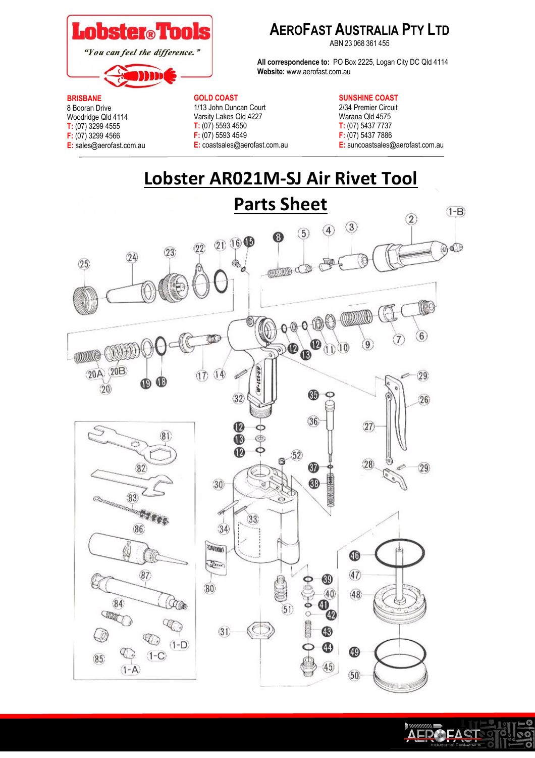

# **AEROFAST AUSTRALIA PTY LTD**

ABN 23 068 361 455

**All correspondence to:** PO Box 2225, Logan City DC Qld 4114 **Website:** www.aerofast.com.au

#### **BRISBANE**

8 Booran Drive Woodridge Qld 4114 **T:** (07) 3299 4555 **F:** (07) 3299 4566 **E:** sales@aerofast.com.au

### **GOLD COAST**

1/13 John Duncan Court Varsity Lakes Qld 4227 **T:** (07) 5593 4550 **F:** (07) 5593 4549 **E:** coastsales@aerofast.com.au

- **SUNSHINE COAST**
- 2/34 Premier Circuit Warana Qld 4575 **T:** (07) 5437 7737 **F:** (07) 5437 7886 **E:** suncoastsales@aerofast.com.au